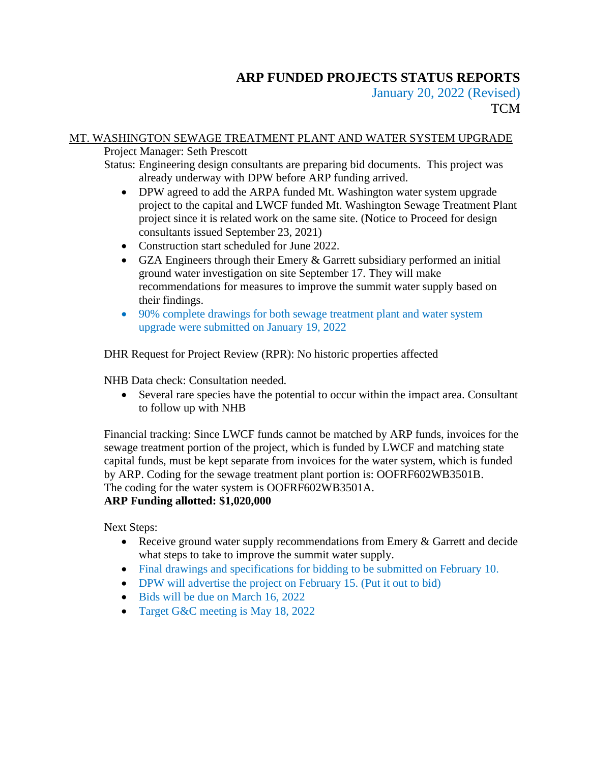# **ARP FUNDED PROJECTS STATUS REPORTS**

January 20, 2022 (Revised) **TCM** 

### MT. WASHINGTON SEWAGE TREATMENT PLANT AND WATER SYSTEM UPGRADE

Project Manager: Seth Prescott

Status: Engineering design consultants are preparing bid documents. This project was already underway with DPW before ARP funding arrived.

- DPW agreed to add the ARPA funded Mt. Washington water system upgrade project to the capital and LWCF funded Mt. Washington Sewage Treatment Plant project since it is related work on the same site. (Notice to Proceed for design consultants issued September 23, 2021)
- Construction start scheduled for June 2022.
- GZA Engineers through their Emery & Garrett subsidiary performed an initial ground water investigation on site September 17. They will make recommendations for measures to improve the summit water supply based on their findings.
- 90% complete drawings for both sewage treatment plant and water system upgrade were submitted on January 19, 2022

DHR Request for Project Review (RPR): No historic properties affected

NHB Data check: Consultation needed.

• Several rare species have the potential to occur within the impact area. Consultant to follow up with NHB

Financial tracking: Since LWCF funds cannot be matched by ARP funds, invoices for the sewage treatment portion of the project, which is funded by LWCF and matching state capital funds, must be kept separate from invoices for the water system, which is funded by ARP. Coding for the sewage treatment plant portion is: OOFRF602WB3501B. The coding for the water system is OOFRF602WB3501A.

### **ARP Funding allotted: \$1,020,000**

Next Steps:

- Receive ground water supply recommendations from Emery & Garrett and decide what steps to take to improve the summit water supply.
- Final drawings and specifications for bidding to be submitted on February 10.
- DPW will advertise the project on February 15. (Put it out to bid)
- Bids will be due on March 16, 2022
- Target G&C meeting is May 18, 2022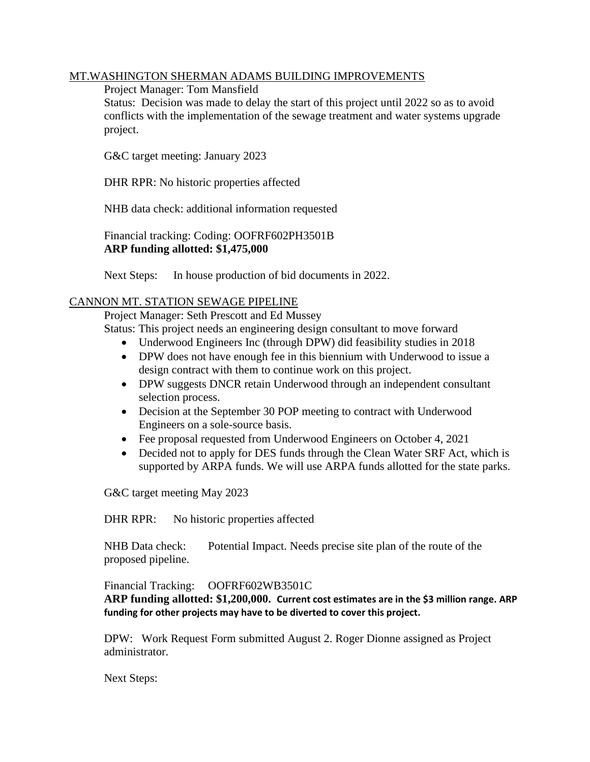#### MT.WASHINGTON SHERMAN ADAMS BUILDING IMPROVEMENTS

#### Project Manager: Tom Mansfield

Status: Decision was made to delay the start of this project until 2022 so as to avoid conflicts with the implementation of the sewage treatment and water systems upgrade project.

G&C target meeting: January 2023

DHR RPR: No historic properties affected

NHB data check: additional information requested

Financial tracking: Coding: OOFRF602PH3501B **ARP funding allotted: \$1,475,000**

Next Steps: In house production of bid documents in 2022.

#### CANNON MT. STATION SEWAGE PIPELINE

Project Manager: Seth Prescott and Ed Mussey

Status: This project needs an engineering design consultant to move forward

- Underwood Engineers Inc (through DPW) did feasibility studies in 2018
- DPW does not have enough fee in this biennium with Underwood to issue a design contract with them to continue work on this project.
- DPW suggests DNCR retain Underwood through an independent consultant selection process.
- Decision at the September 30 POP meeting to contract with Underwood Engineers on a sole-source basis.
- Fee proposal requested from Underwood Engineers on October 4, 2021
- Decided not to apply for DES funds through the Clean Water SRF Act, which is supported by ARPA funds. We will use ARPA funds allotted for the state parks.

G&C target meeting May 2023

DHR RPR: No historic properties affected

NHB Data check: Potential Impact. Needs precise site plan of the route of the proposed pipeline.

Financial Tracking: OOFRF602WB3501C **ARP funding allotted: \$1,200,000. Current cost estimates are in the \$3 million range. ARP funding for other projects may have to be diverted to cover this project.**

DPW: Work Request Form submitted August 2. Roger Dionne assigned as Project administrator.

Next Steps: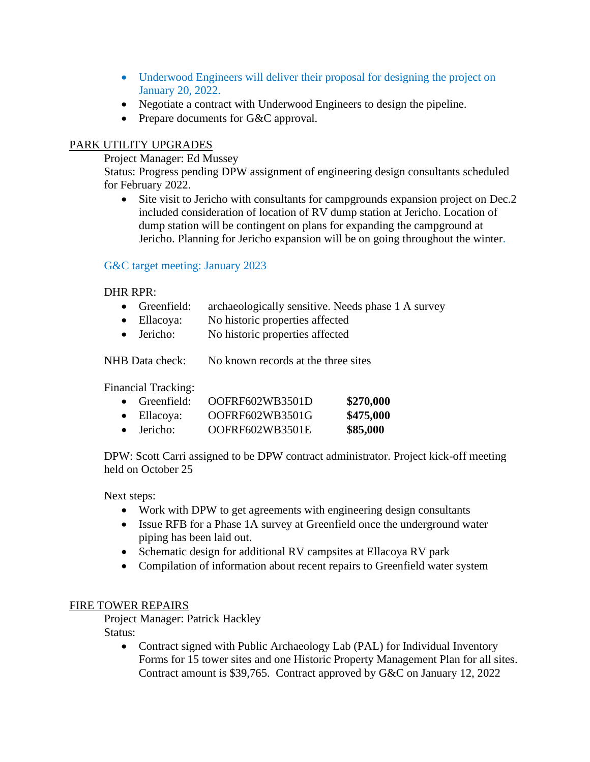- Underwood Engineers will deliver their proposal for designing the project on January 20, 2022.
- Negotiate a contract with Underwood Engineers to design the pipeline.
- Prepare documents for G&C approval.

### PARK UTILITY UPGRADES

Project Manager: Ed Mussey

Status: Progress pending DPW assignment of engineering design consultants scheduled for February 2022.

• Site visit to Jericho with consultants for campgrounds expansion project on Dec.2 included consideration of location of RV dump station at Jericho. Location of dump station will be contingent on plans for expanding the campground at Jericho. Planning for Jericho expansion will be on going throughout the winter.

#### G&C target meeting: January 2023

#### DHR RPR:

- Greenfield: archaeologically sensitive. Needs phase 1 A survey
- Ellacoya: No historic properties affected
- Jericho: No historic properties affected

NHB Data check: No known records at the three sites

Financial Tracking:

| $\bullet$ Greenfield: | OOFRF602WB3501D | \$270,000 |
|-----------------------|-----------------|-----------|
| $\bullet$ Ellacoya:   | OOFRF602WB3501G | \$475,000 |
| $\bullet$ Jericho:    | OOFRF602WB3501E | \$85,000  |

DPW: Scott Carri assigned to be DPW contract administrator. Project kick-off meeting held on October 25

Next steps:

- Work with DPW to get agreements with engineering design consultants
- Issue RFB for a Phase 1A survey at Greenfield once the underground water piping has been laid out.
- Schematic design for additional RV campsites at Ellacoya RV park
- Compilation of information about recent repairs to Greenfield water system

#### FIRE TOWER REPAIRS

Project Manager: Patrick Hackley Status:

> • Contract signed with Public Archaeology Lab (PAL) for Individual Inventory Forms for 15 tower sites and one Historic Property Management Plan for all sites. Contract amount is \$39,765. Contract approved by G&C on January 12, 2022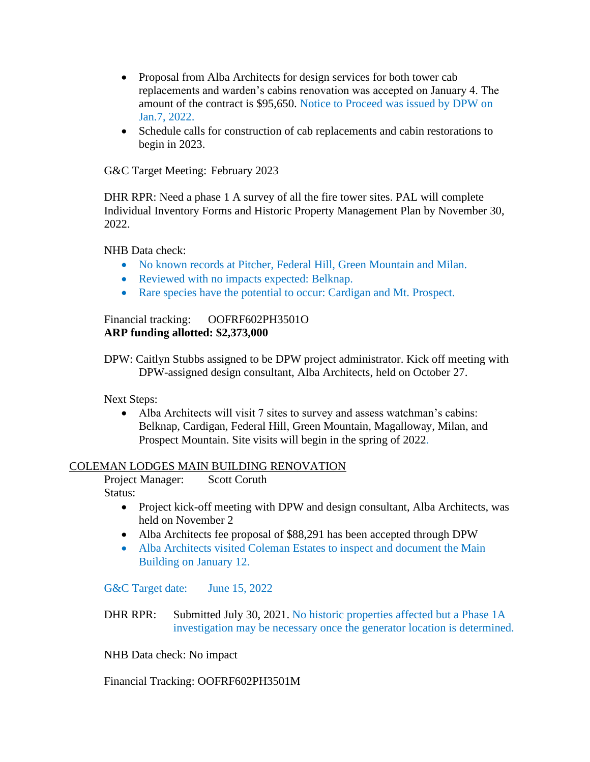- Proposal from Alba Architects for design services for both tower cab replacements and warden's cabins renovation was accepted on January 4. The amount of the contract is \$95,650. Notice to Proceed was issued by DPW on Jan.7, 2022.
- Schedule calls for construction of cab replacements and cabin restorations to begin in 2023.

G&C Target Meeting: February 2023

DHR RPR: Need a phase 1 A survey of all the fire tower sites. PAL will complete Individual Inventory Forms and Historic Property Management Plan by November 30, 2022.

NHB Data check:

- No known records at Pitcher, Federal Hill, Green Mountain and Milan.
- Reviewed with no impacts expected: Belknap.
- Rare species have the potential to occur: Cardigan and Mt. Prospect.

Financial tracking: OOFRF602PH3501O **ARP funding allotted: \$2,373,000**

DPW: Caitlyn Stubbs assigned to be DPW project administrator. Kick off meeting with DPW-assigned design consultant, Alba Architects, held on October 27.

Next Steps:

• Alba Architects will visit 7 sites to survey and assess watchman's cabins: Belknap, Cardigan, Federal Hill, Green Mountain, Magalloway, Milan, and Prospect Mountain. Site visits will begin in the spring of 2022.

#### COLEMAN LODGES MAIN BUILDING RENOVATION

Project Manager: Scott Coruth Status:

- Project kick-off meeting with DPW and design consultant, Alba Architects, was held on November 2
- Alba Architects fee proposal of \$88,291 has been accepted through DPW
- Alba Architects visited Coleman Estates to inspect and document the Main Building on January 12.

G&C Target date: June 15, 2022

DHR RPR: Submitted July 30, 2021. No historic properties affected but a Phase 1A investigation may be necessary once the generator location is determined.

NHB Data check: No impact

Financial Tracking: OOFRF602PH3501M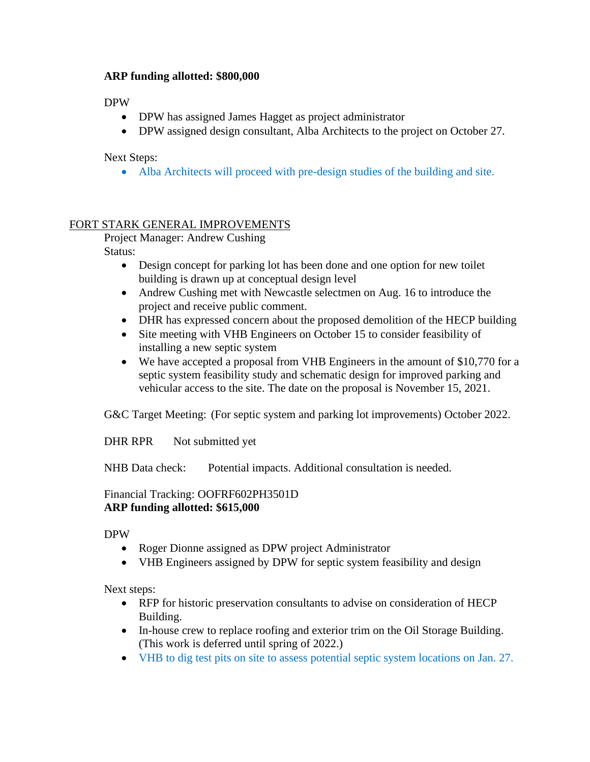### **ARP funding allotted: \$800,000**

DPW

- DPW has assigned James Hagget as project administrator
- DPW assigned design consultant, Alba Architects to the project on October 27.

Next Steps:

• Alba Architects will proceed with pre-design studies of the building and site.

## FORT STARK GENERAL IMPROVEMENTS

Project Manager: Andrew Cushing

Status:

- Design concept for parking lot has been done and one option for new toilet building is drawn up at conceptual design level
- Andrew Cushing met with Newcastle selectmen on Aug. 16 to introduce the project and receive public comment.
- DHR has expressed concern about the proposed demolition of the HECP building
- Site meeting with VHB Engineers on October 15 to consider feasibility of installing a new septic system
- We have accepted a proposal from VHB Engineers in the amount of \$10,770 for a septic system feasibility study and schematic design for improved parking and vehicular access to the site. The date on the proposal is November 15, 2021.

G&C Target Meeting: (For septic system and parking lot improvements) October 2022.

DHR RPR Not submitted yet

NHB Data check: Potential impacts. Additional consultation is needed.

### Financial Tracking: OOFRF602PH3501D **ARP funding allotted: \$615,000**

DPW

- Roger Dionne assigned as DPW project Administrator
- VHB Engineers assigned by DPW for septic system feasibility and design

Next steps:

- RFP for historic preservation consultants to advise on consideration of HECP Building.
- In-house crew to replace roofing and exterior trim on the Oil Storage Building. (This work is deferred until spring of 2022.)
- VHB to dig test pits on site to assess potential septic system locations on Jan. 27.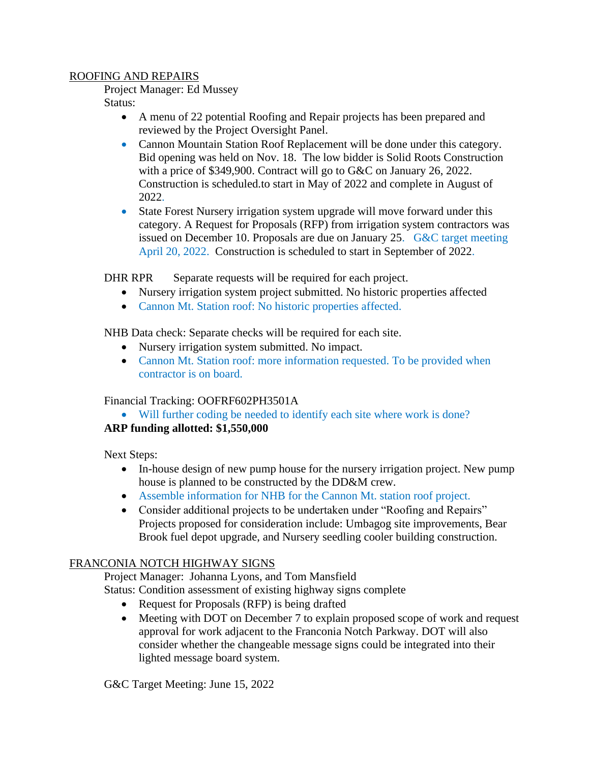#### ROOFING AND REPAIRS

Project Manager: Ed Mussey

Status:

- A menu of 22 potential Roofing and Repair projects has been prepared and reviewed by the Project Oversight Panel.
- Cannon Mountain Station Roof Replacement will be done under this category. Bid opening was held on Nov. 18. The low bidder is Solid Roots Construction with a price of \$349,900. Contract will go to G&C on January 26, 2022. Construction is scheduled.to start in May of 2022 and complete in August of 2022.
- State Forest Nursery irrigation system upgrade will move forward under this category. A Request for Proposals (RFP) from irrigation system contractors was issued on December 10. Proposals are due on January 25. G&C target meeting April 20, 2022. Construction is scheduled to start in September of 2022.

DHR RPR Separate requests will be required for each project.

- Nursery irrigation system project submitted. No historic properties affected
- Cannon Mt. Station roof: No historic properties affected.

NHB Data check: Separate checks will be required for each site.

- Nursery irrigation system submitted. No impact.
- Cannon Mt. Station roof: more information requested. To be provided when contractor is on board.

Financial Tracking: OOFRF602PH3501A

• Will further coding be needed to identify each site where work is done?

# **ARP funding allotted: \$1,550,000**

Next Steps:

- In-house design of new pump house for the nursery irrigation project. New pump house is planned to be constructed by the DD&M crew.
- Assemble information for NHB for the Cannon Mt. station roof project.
- Consider additional projects to be undertaken under "Roofing and Repairs" Projects proposed for consideration include: Umbagog site improvements, Bear Brook fuel depot upgrade, and Nursery seedling cooler building construction.

# FRANCONIA NOTCH HIGHWAY SIGNS

Project Manager: Johanna Lyons, and Tom Mansfield

Status: Condition assessment of existing highway signs complete

- Request for Proposals (RFP) is being drafted
- Meeting with DOT on December 7 to explain proposed scope of work and request approval for work adjacent to the Franconia Notch Parkway. DOT will also consider whether the changeable message signs could be integrated into their lighted message board system.

G&C Target Meeting: June 15, 2022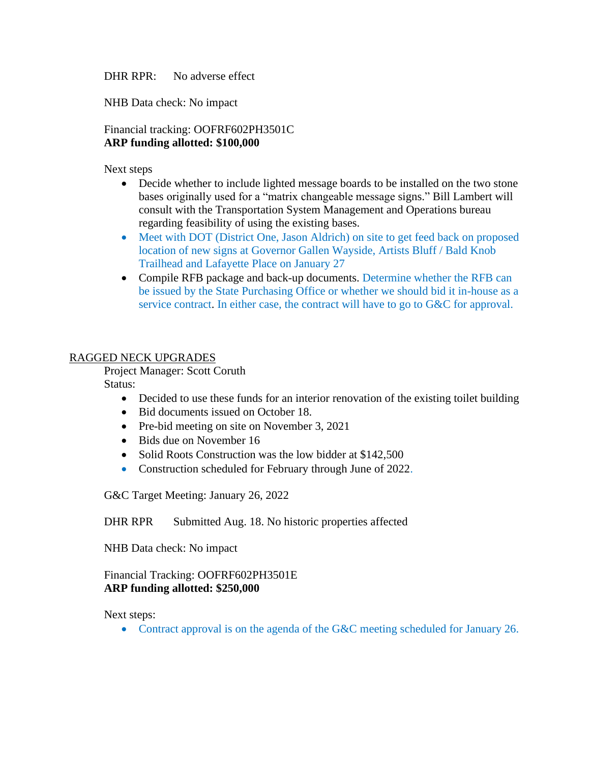DHR RPR: No adverse effect

NHB Data check: No impact

Financial tracking: OOFRF602PH3501C **ARP funding allotted: \$100,000**

Next steps

- Decide whether to include lighted message boards to be installed on the two stone bases originally used for a "matrix changeable message signs." Bill Lambert will consult with the Transportation System Management and Operations bureau regarding feasibility of using the existing bases.
- Meet with DOT (District One, Jason Aldrich) on site to get feed back on proposed location of new signs at Governor Gallen Wayside, Artists Bluff / Bald Knob Trailhead and Lafayette Place on January 27
- Compile RFB package and back-up documents. Determine whether the RFB can be issued by the State Purchasing Office or whether we should bid it in-house as a service contract. In either case, the contract will have to go to G&C for approval.

### RAGGED NECK UPGRADES

Project Manager: Scott Coruth

Status:

- Decided to use these funds for an interior renovation of the existing toilet building
- Bid documents issued on October 18.
- Pre-bid meeting on site on November 3, 2021
- Bids due on November 16
- Solid Roots Construction was the low bidder at \$142,500
- Construction scheduled for February through June of 2022.

G&C Target Meeting: January 26, 2022

DHR RPR Submitted Aug. 18. No historic properties affected

NHB Data check: No impact

#### Financial Tracking: OOFRF602PH3501E **ARP funding allotted: \$250,000**

Next steps:

• Contract approval is on the agenda of the G&C meeting scheduled for January 26.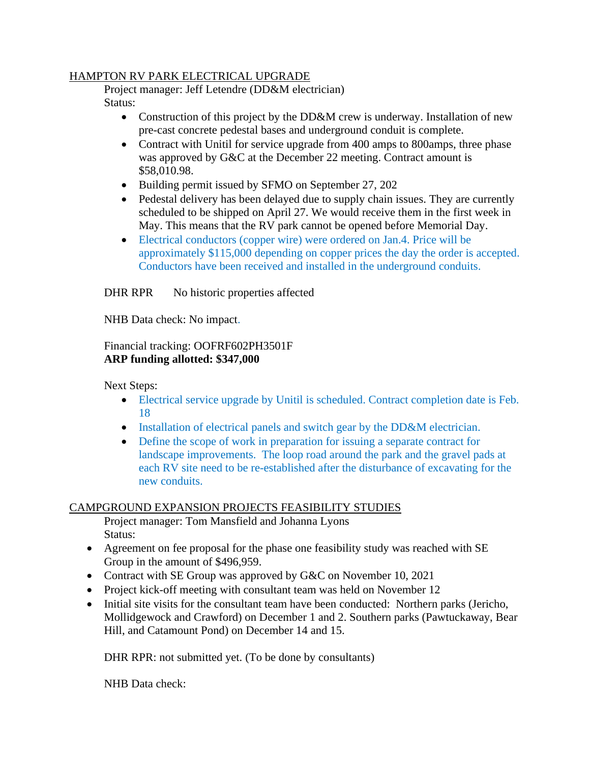### HAMPTON RV PARK ELECTRICAL UPGRADE

Project manager: Jeff Letendre (DD&M electrician) Status:

- Construction of this project by the DD&M crew is underway. Installation of new pre-cast concrete pedestal bases and underground conduit is complete.
- Contract with Unitil for service upgrade from 400 amps to 800 amps, three phase was approved by G&C at the December 22 meeting. Contract amount is \$58,010.98.
- Building permit issued by SFMO on September 27, 202
- Pedestal delivery has been delayed due to supply chain issues. They are currently scheduled to be shipped on April 27. We would receive them in the first week in May. This means that the RV park cannot be opened before Memorial Day.
- Electrical conductors (copper wire) were ordered on Jan.4. Price will be approximately \$115,000 depending on copper prices the day the order is accepted. Conductors have been received and installed in the underground conduits.

DHR RPR No historic properties affected

NHB Data check: No impact.

Financial tracking: OOFRF602PH3501F **ARP funding allotted: \$347,000**

Next Steps:

- Electrical service upgrade by Unitil is scheduled. Contract completion date is Feb. 18
- Installation of electrical panels and switch gear by the DD&M electrician.
- Define the scope of work in preparation for issuing a separate contract for landscape improvements. The loop road around the park and the gravel pads at each RV site need to be re-established after the disturbance of excavating for the new conduits.

### CAMPGROUND EXPANSION PROJECTS FEASIBILITY STUDIES

Project manager: Tom Mansfield and Johanna Lyons Status:

- Agreement on fee proposal for the phase one feasibility study was reached with SE Group in the amount of \$496,959.
- Contract with SE Group was approved by G&C on November 10, 2021
- Project kick-off meeting with consultant team was held on November 12
- Initial site visits for the consultant team have been conducted: Northern parks (Jericho, Mollidgewock and Crawford) on December 1 and 2. Southern parks (Pawtuckaway, Bear Hill, and Catamount Pond) on December 14 and 15.

DHR RPR: not submitted yet. (To be done by consultants)

NHB Data check: